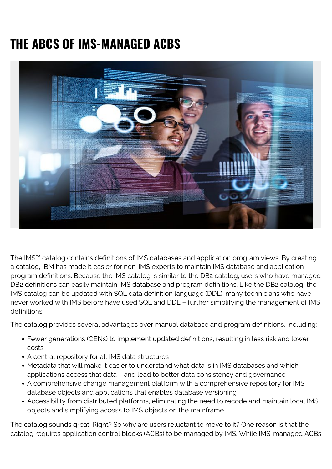## **THE ABCS OF IMS-MANAGED ACBS**



The IMS™ catalog contains definitions of IMS databases and application program views. By creating a catalog, IBM has made it easier for non-IMS experts to maintain IMS database and application program definitions. Because the IMS catalog is similar to the DB2 catalog, users who have managed DB2 definitions can easily maintain IMS database and program definitions. Like the DB2 catalog, the IMS catalog can be updated with SQL data definition language (DDL); many technicians who have never worked with IMS before have used SQL and DDL – further simplifying the management of IMS definitions.

The catalog provides several advantages over manual database and program definitions, including:

- Fewer generations (GENs) to implement updated definitions, resulting in less risk and lower costs
- A central repository for all IMS data structures
- Metadata that will make it easier to understand what data is in IMS databases and which applications access that data – and lead to better data consistency and governance
- A comprehensive change management platform with a comprehensive repository for IMS database objects and applications that enables database versioning
- Accessibility from distributed platforms, eliminating the need to recode and maintain local IMS objects and simplifying access to IMS objects on the mainframe

The catalog sounds great. Right? So why are users reluctant to move to it? One reason is that the catalog requires application control blocks (ACBs) to be managed by IMS. While IMS-managed ACBs